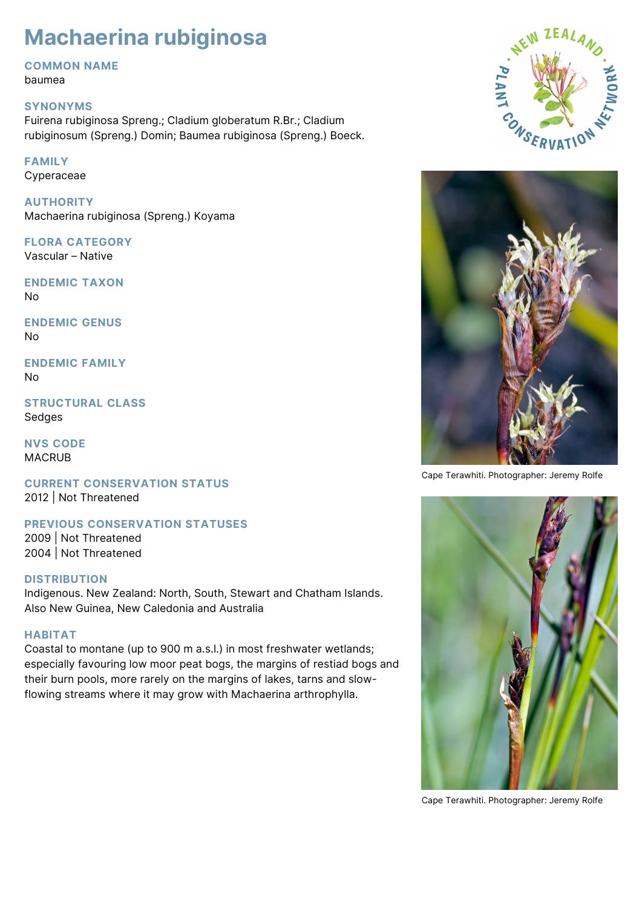# **Machaerina rubiginosa**

# **COMMON NAME**

baumea

# **SYNONYMS**

Fuirena rubiginosa Spreng.; Cladium globeratum R.Br.; Cladium rubiginosum (Spreng.) Domin; Baumea rubiginosa (Spreng.) Boeck.

# **FAMILY**

Cyperaceae

**AUTHORITY** Machaerina rubiginosa (Spreng.) Koyama

**FLORA CATEGORY** Vascular – Native

**ENDEMIC TAXON** No

**ENDEMIC GENUS** No

**ENDEMIC FAMILY** No

**STRUCTURAL CLASS** Sedges

**NVS CODE** MACRUB

**CURRENT CONSERVATION STATUS** 2012 | Not Threatened

**PREVIOUS CONSERVATION STATUSES**

2009 | Not Threatened 2004 | Not Threatened

# **DISTRIBUTION**

Indigenous. New Zealand: North, South, Stewart and Chatham Islands. Also New Guinea, New Caledonia and Australia

#### **HABITAT**

Coastal to montane (up to 900 m a.s.l.) in most freshwater wetlands; especially favouring low moor peat bogs, the margins of restiad bogs and their burn pools, more rarely on the margins of lakes, tarns and slowflowing streams where it may grow with Machaerina arthrophylla.





Cape Terawhiti. Photographer: Jeremy Rolfe



Cape Terawhiti. Photographer: Jeremy Rolfe